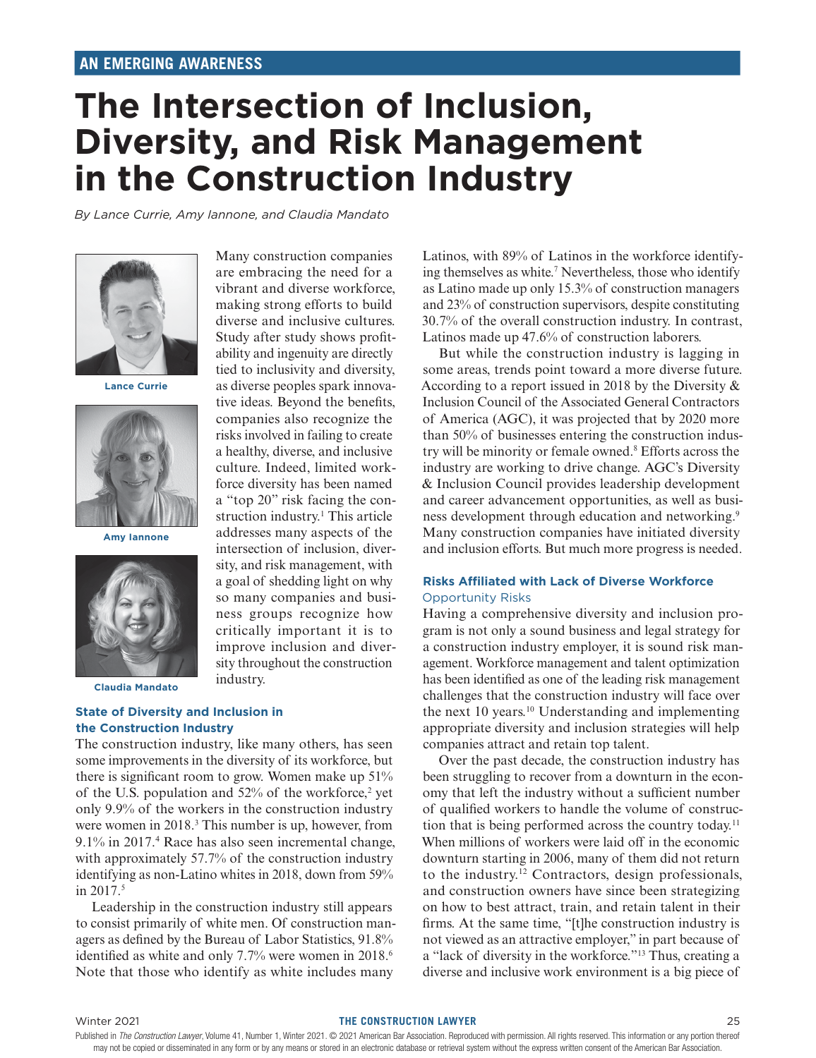# **The Intersection of Inclusion, Diversity, and Risk Management in the Construction Industry**

Many construction companies are embracing the need for a vibrant and diverse workforce, making strong efforts to build diverse and inclusive cultures. Study after study shows profitability and ingenuity are directly tied to inclusivity and diversity, as diverse peoples spark innovative ideas. Beyond the benefits, companies also recognize the risks involved in failing to create a healthy, diverse, and inclusive culture. Indeed, limited workforce diversity has been named a "top 20" risk facing the construction industry.<sup>1</sup> This article addresses many aspects of the intersection of inclusion, diversity, and risk management, with a goal of shedding light on why so many companies and business groups recognize how critically important it is to improve inclusion and diversity throughout the construction

*By Lance Currie, Amy Iannone, and Claudia Mandato*



**Lance Currie**



**Amy Iannone**



**Claudia Mandato**

**State of Diversity and Inclusion in the Construction Industry**

The construction industry, like many others, has seen some improvements in the diversity of its workforce, but there is significant room to grow. Women make up 51% of the U.S. population and  $52\%$  of the workforce,<sup>2</sup> yet only 9.9% of the workers in the construction industry were women in 2018.<sup>3</sup> This number is up, however, from 9.1% in 2017.4 Race has also seen incremental change, with approximately 57.7% of the construction industry identifying as non-Latino whites in 2018, down from 59% in 2017.<sup>5</sup>

industry.

Leadership in the construction industry still appears to consist primarily of white men. Of construction managers as defined by the Bureau of Labor Statistics, 91.8% identified as white and only 7.7% were women in 2018.<sup>6</sup> Note that those who identify as white includes many

Latinos, with 89% of Latinos in the workforce identifying themselves as white.<sup>7</sup> Nevertheless, those who identify as Latino made up only 15.3% of construction managers and 23% of construction supervisors, despite constituting 30.7% of the overall construction industry. In contrast, Latinos made up 47.6% of construction laborers.

But while the construction industry is lagging in some areas, trends point toward a more diverse future. According to a report issued in 2018 by the Diversity & Inclusion Council of the Associated General Contractors of America (AGC), it was projected that by 2020 more than 50% of businesses entering the construction industry will be minority or female owned.8 Efforts across the industry are working to drive change. AGC's Diversity & Inclusion Council provides leadership development and career advancement opportunities, as well as business development through education and networking.<sup>9</sup> Many construction companies have initiated diversity and inclusion efforts. But much more progress is needed.

# **Risks Affiliated with Lack of Diverse Workforce** Opportunity Risks

Having a comprehensive diversity and inclusion program is not only a sound business and legal strategy for a construction industry employer, it is sound risk management. Workforce management and talent optimization has been identified as one of the leading risk management challenges that the construction industry will face over the next 10 years.<sup>10</sup> Understanding and implementing appropriate diversity and inclusion strategies will help companies attract and retain top talent.

Over the past decade, the construction industry has been struggling to recover from a downturn in the economy that left the industry without a sufficient number of qualified workers to handle the volume of construction that is being performed across the country today.11 When millions of workers were laid off in the economic downturn starting in 2006, many of them did not return to the industry.12 Contractors, design professionals, and construction owners have since been strategizing on how to best attract, train, and retain talent in their firms. At the same time, "[t]he construction industry is not viewed as an attractive employer," in part because of a "lack of diversity in the workforce."13 Thus, creating a diverse and inclusive work environment is a big piece of

#### Winter 2021 **THE CONSTRUCTION LAWYER** 25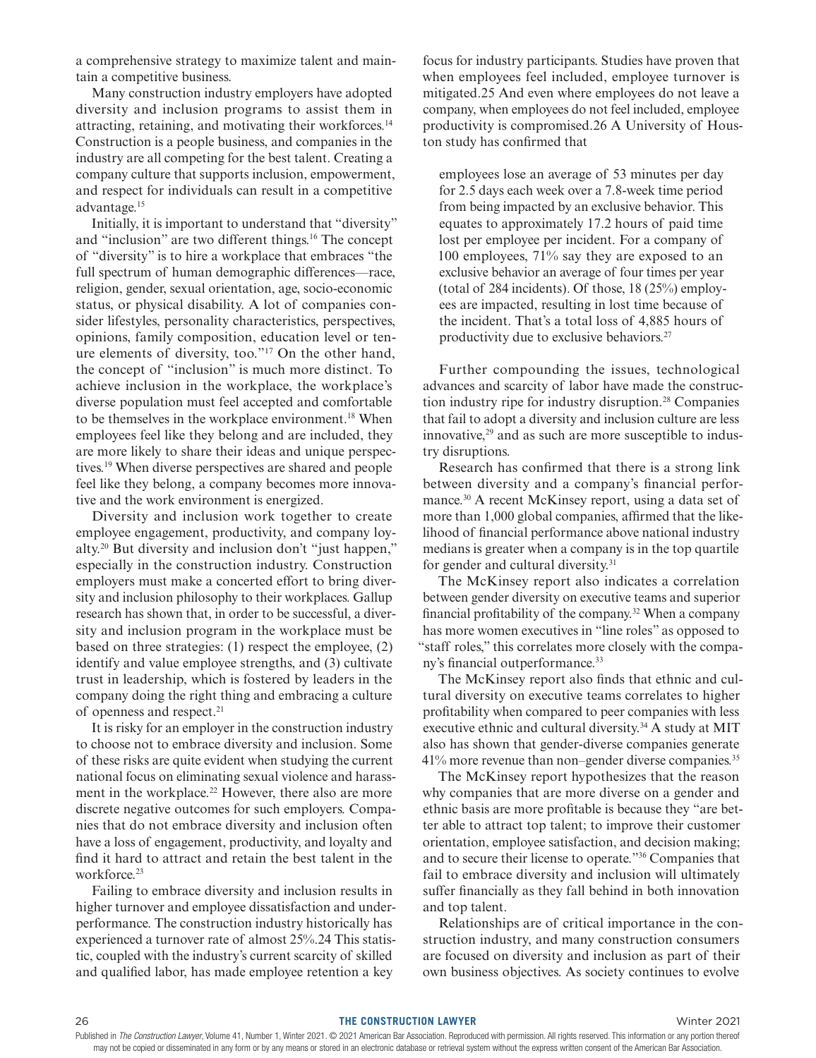a comprehensive strategy to maximize talent and maintain a competitive business.

Many construction industry employers have adopted diversity and inclusion programs to assist them in attracting, retaining, and motivating their workforces.14 Construction is a people business, and companies in the industry are all competing for the best talent. Creating a company culture that supports inclusion, empowerment, and respect for individuals can result in a competitive advantage.15

Initially, it is important to understand that "diversity" and "inclusion" are two different things.<sup>16</sup> The concept of "diversity" is to hire a workplace that embraces "the full spectrum of human demographic differences—race, religion, gender, sexual orientation, age, socio-economic status, or physical disability. A lot of companies consider lifestyles, personality characteristics, perspectives, opinions, family composition, education level or tenure elements of diversity, too."17 On the other hand, the concept of "inclusion" is much more distinct. To achieve inclusion in the workplace, the workplace's diverse population must feel accepted and comfortable to be themselves in the workplace environment.<sup>18</sup> When employees feel like they belong and are included, they are more likely to share their ideas and unique perspectives.19 When diverse perspectives are shared and people feel like they belong, a company becomes more innovative and the work environment is energized.

Diversity and inclusion work together to create employee engagement, productivity, and company loyalty.20 But diversity and inclusion don't "just happen," especially in the construction industry. Construction employers must make a concerted effort to bring diversity and inclusion philosophy to their workplaces. Gallup research has shown that, in order to be successful, a diversity and inclusion program in the workplace must be based on three strategies: (1) respect the employee, (2) identify and value employee strengths, and (3) cultivate trust in leadership, which is fostered by leaders in the company doing the right thing and embracing a culture of openness and respect.21

It is risky for an employer in the construction industry to choose not to embrace diversity and inclusion. Some of these risks are quite evident when studying the current national focus on eliminating sexual violence and harassment in the workplace.<sup>22</sup> However, there also are more discrete negative outcomes for such employers. Companies that do not embrace diversity and inclusion often have a loss of engagement, productivity, and loyalty and find it hard to attract and retain the best talent in the workforce.<sup>23</sup>

Failing to embrace diversity and inclusion results in higher turnover and employee dissatisfaction and underperformance. The construction industry historically has experienced a turnover rate of almost 25%.24 This statistic, coupled with the industry's current scarcity of skilled and qualified labor, has made employee retention a key

focus for industry participants. Studies have proven that when employees feel included, employee turnover is mitigated.25 And even where employees do not leave a company, when employees do not feel included, employee productivity is compromised.26 A University of Houston study has confirmed that

employees lose an average of 53 minutes per day for 2.5 days each week over a 7.8-week time period from being impacted by an exclusive behavior. This equates to approximately 17.2 hours of paid time lost per employee per incident. For a company of 100 employees, 71% say they are exposed to an exclusive behavior an average of four times per year (total of 284 incidents). Of those, 18 (25%) employees are impacted, resulting in lost time because of the incident. That's a total loss of 4,885 hours of productivity due to exclusive behaviors.27

Further compounding the issues, technological advances and scarcity of labor have made the construction industry ripe for industry disruption.<sup>28</sup> Companies that fail to adopt a diversity and inclusion culture are less innovative, $29$  and as such are more susceptible to industry disruptions.

Research has confirmed that there is a strong link between diversity and a company's financial performance.30 A recent McKinsey report, using a data set of more than 1,000 global companies, affirmed that the likelihood of financial performance above national industry medians is greater when a company is in the top quartile for gender and cultural diversity.<sup>31</sup>

The McKinsey report also indicates a correlation between gender diversity on executive teams and superior financial profitability of the company.32 When a company has more women executives in "line roles" as opposed to "staff roles," this correlates more closely with the company's financial outperformance.<sup>33</sup>

The McKinsey report also finds that ethnic and cultural diversity on executive teams correlates to higher profitability when compared to peer companies with less executive ethnic and cultural diversity.<sup>34</sup> A study at MIT also has shown that gender-diverse companies generate 41% more revenue than non–gender diverse companies.35

The McKinsey report hypothesizes that the reason why companies that are more diverse on a gender and ethnic basis are more profitable is because they "are better able to attract top talent; to improve their customer orientation, employee satisfaction, and decision making; and to secure their license to operate."36 Companies that fail to embrace diversity and inclusion will ultimately suffer financially as they fall behind in both innovation and top talent.

Relationships are of critical importance in the construction industry, and many construction consumers are focused on diversity and inclusion as part of their own business objectives. As society continues to evolve

Published in The Construction Lawyer, Volume 41, Number 1, Winter 2021. © 2021 American Bar Association. Reproduced with permission. All rights reserved. This information or any portion thereof may not be copied or disseminated in any form or by any means or stored in an electronic database or retrieval system without the express written consent of the American Bar Association.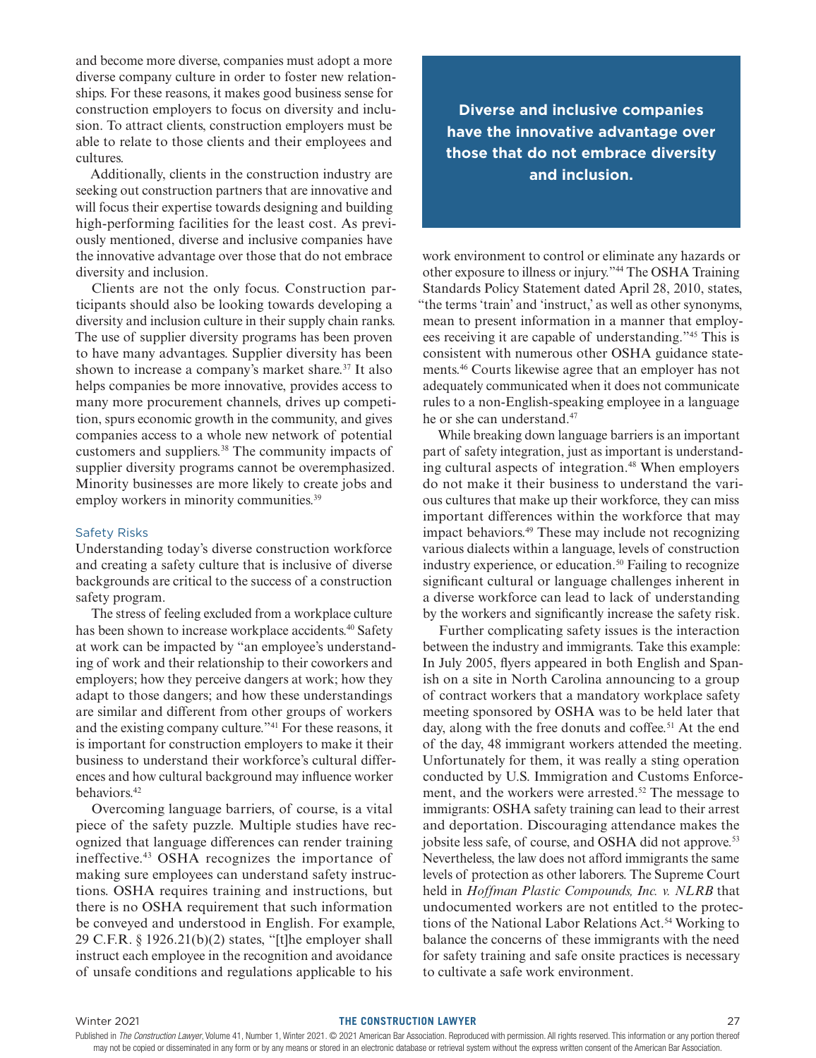and become more diverse, companies must adopt a more diverse company culture in order to foster new relationships. For these reasons, it makes good business sense for construction employers to focus on diversity and inclusion. To attract clients, construction employers must be able to relate to those clients and their employees and cultures.

Additionally, clients in the construction industry are seeking out construction partners that are innovative and will focus their expertise towards designing and building high-performing facilities for the least cost. As previously mentioned, diverse and inclusive companies have the innovative advantage over those that do not embrace diversity and inclusion.

Clients are not the only focus. Construction participants should also be looking towards developing a diversity and inclusion culture in their supply chain ranks. The use of supplier diversity programs has been proven to have many advantages. Supplier diversity has been shown to increase a company's market share.<sup>37</sup> It also helps companies be more innovative, provides access to many more procurement channels, drives up competition, spurs economic growth in the community, and gives companies access to a whole new network of potential customers and suppliers.38 The community impacts of supplier diversity programs cannot be overemphasized. Minority businesses are more likely to create jobs and employ workers in minority communities.<sup>39</sup>

#### Safety Risks

Understanding today's diverse construction workforce and creating a safety culture that is inclusive of diverse backgrounds are critical to the success of a construction safety program.

The stress of feeling excluded from a workplace culture has been shown to increase workplace accidents.<sup>40</sup> Safety at work can be impacted by "an employee's understanding of work and their relationship to their coworkers and employers; how they perceive dangers at work; how they adapt to those dangers; and how these understandings are similar and different from other groups of workers and the existing company culture."41 For these reasons, it is important for construction employers to make it their business to understand their workforce's cultural differences and how cultural background may influence worker behaviors.<sup>42</sup>

Overcoming language barriers, of course, is a vital piece of the safety puzzle. Multiple studies have recognized that language differences can render training ineffective.43 OSHA recognizes the importance of making sure employees can understand safety instructions. OSHA requires training and instructions, but there is no OSHA requirement that such information be conveyed and understood in English. For example, 29 C.F.R. § 1926.21(b)(2) states, "[t]he employer shall instruct each employee in the recognition and avoidance of unsafe conditions and regulations applicable to his

**Diverse and inclusive companies have the innovative advantage over those that do not embrace diversity and inclusion.**

work environment to control or eliminate any hazards or other exposure to illness or injury."44 The OSHA Training Standards Policy Statement dated April 28, 2010, states, "the terms 'train' and 'instruct,' as well as other synonyms, mean to present information in a manner that employees receiving it are capable of understanding."45 This is consistent with numerous other OSHA guidance statements.46 Courts likewise agree that an employer has not adequately communicated when it does not communicate rules to a non-English-speaking employee in a language he or she can understand.47

While breaking down language barriers is an important part of safety integration, just as important is understanding cultural aspects of integration.<sup>48</sup> When employers do not make it their business to understand the various cultures that make up their workforce, they can miss important differences within the workforce that may impact behaviors.49 These may include not recognizing various dialects within a language, levels of construction industry experience, or education.<sup>50</sup> Failing to recognize significant cultural or language challenges inherent in a diverse workforce can lead to lack of understanding by the workers and significantly increase the safety risk.

Further complicating safety issues is the interaction between the industry and immigrants. Take this example: In July 2005, flyers appeared in both English and Spanish on a site in North Carolina announcing to a group of contract workers that a mandatory workplace safety meeting sponsored by OSHA was to be held later that day, along with the free donuts and coffee.<sup>51</sup> At the end of the day, 48 immigrant workers attended the meeting. Unfortunately for them, it was really a sting operation conducted by U.S. Immigration and Customs Enforcement, and the workers were arrested.<sup>52</sup> The message to immigrants: OSHA safety training can lead to their arrest and deportation. Discouraging attendance makes the jobsite less safe, of course, and OSHA did not approve.<sup>53</sup> Nevertheless, the law does not afford immigrants the same levels of protection as other laborers. The Supreme Court held in *Hoffman Plastic Compounds, Inc. v. NLRB* that undocumented workers are not entitled to the protections of the National Labor Relations Act.<sup>54</sup> Working to balance the concerns of these immigrants with the need for safety training and safe onsite practices is necessary to cultivate a safe work environment.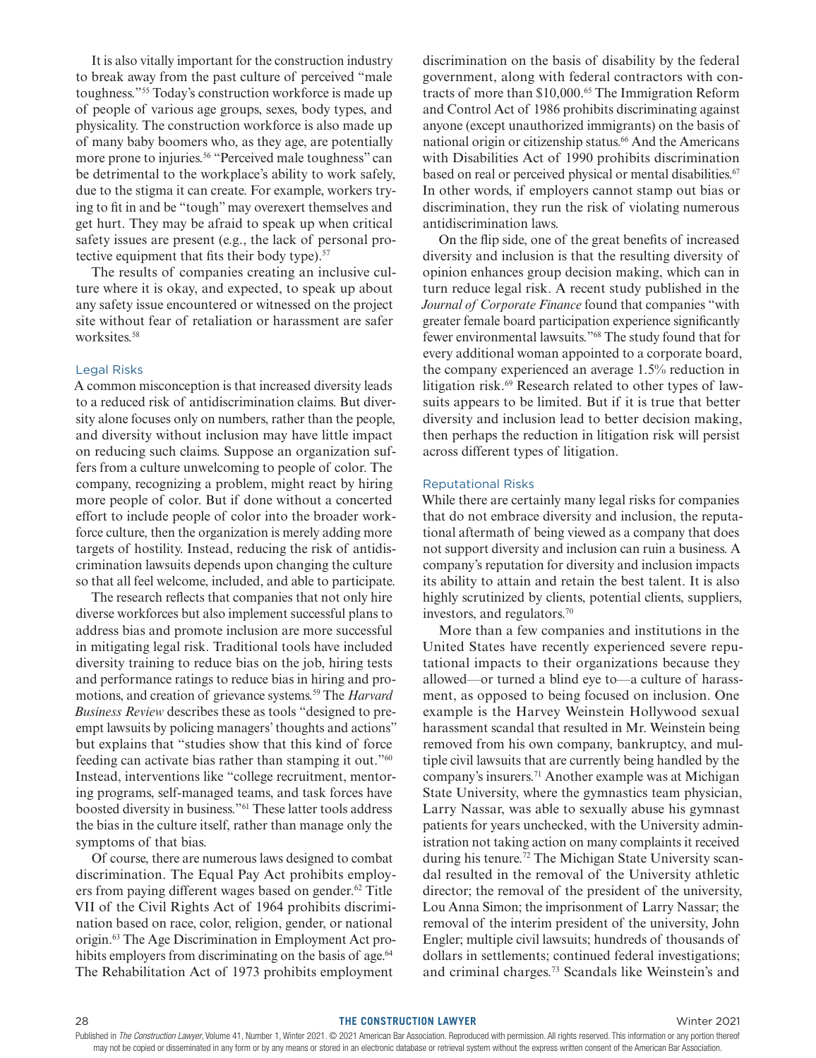It is also vitally important for the construction industry to break away from the past culture of perceived "male toughness."55 Today's construction workforce is made up of people of various age groups, sexes, body types, and physicality. The construction workforce is also made up of many baby boomers who, as they age, are potentially more prone to injuries.<sup>56</sup> "Perceived male toughness" can be detrimental to the workplace's ability to work safely, due to the stigma it can create. For example, workers trying to fit in and be "tough" may overexert themselves and get hurt. They may be afraid to speak up when critical safety issues are present (e.g., the lack of personal protective equipment that fits their body type). $57$ 

The results of companies creating an inclusive culture where it is okay, and expected, to speak up about any safety issue encountered or witnessed on the project site without fear of retaliation or harassment are safer worksites.<sup>58</sup>

#### Legal Risks

A common misconception is that increased diversity leads to a reduced risk of antidiscrimination claims. But diversity alone focuses only on numbers, rather than the people, and diversity without inclusion may have little impact on reducing such claims. Suppose an organization suffers from a culture unwelcoming to people of color. The company, recognizing a problem, might react by hiring more people of color. But if done without a concerted effort to include people of color into the broader workforce culture, then the organization is merely adding more targets of hostility. Instead, reducing the risk of antidiscrimination lawsuits depends upon changing the culture so that all feel welcome, included, and able to participate.

The research reflects that companies that not only hire diverse workforces but also implement successful plans to address bias and promote inclusion are more successful in mitigating legal risk. Traditional tools have included diversity training to reduce bias on the job, hiring tests and performance ratings to reduce bias in hiring and promotions, and creation of grievance systems.59 The *Harvard Business Review* describes these as tools "designed to preempt lawsuits by policing managers' thoughts and actions" but explains that "studies show that this kind of force feeding can activate bias rather than stamping it out."60 Instead, interventions like "college recruitment, mentoring programs, self-managed teams, and task forces have boosted diversity in business."61 These latter tools address the bias in the culture itself, rather than manage only the symptoms of that bias.

Of course, there are numerous laws designed to combat discrimination. The Equal Pay Act prohibits employers from paying different wages based on gender.<sup>62</sup> Title VII of the Civil Rights Act of 1964 prohibits discrimination based on race, color, religion, gender, or national origin.63 The Age Discrimination in Employment Act prohibits employers from discriminating on the basis of age.<sup>64</sup> The Rehabilitation Act of 1973 prohibits employment

discrimination on the basis of disability by the federal government, along with federal contractors with contracts of more than \$10,000.<sup>65</sup> The Immigration Reform and Control Act of 1986 prohibits discriminating against anyone (except unauthorized immigrants) on the basis of national origin or citizenship status.<sup>66</sup> And the Americans with Disabilities Act of 1990 prohibits discrimination based on real or perceived physical or mental disabilities.<sup>67</sup> In other words, if employers cannot stamp out bias or discrimination, they run the risk of violating numerous antidiscrimination laws.

On the flip side, one of the great benefits of increased diversity and inclusion is that the resulting diversity of opinion enhances group decision making, which can in turn reduce legal risk. A recent study published in the *Journal of Corporate Finance* found that companies "with greater female board participation experience significantly fewer environmental lawsuits."68 The study found that for every additional woman appointed to a corporate board, the company experienced an average 1.5% reduction in litigation risk.<sup>69</sup> Research related to other types of lawsuits appears to be limited. But if it is true that better diversity and inclusion lead to better decision making, then perhaps the reduction in litigation risk will persist across different types of litigation.

## Reputational Risks

While there are certainly many legal risks for companies that do not embrace diversity and inclusion, the reputational aftermath of being viewed as a company that does not support diversity and inclusion can ruin a business. A company's reputation for diversity and inclusion impacts its ability to attain and retain the best talent. It is also highly scrutinized by clients, potential clients, suppliers, investors, and regulators.70

More than a few companies and institutions in the United States have recently experienced severe reputational impacts to their organizations because they allowed—or turned a blind eye to—a culture of harassment, as opposed to being focused on inclusion. One example is the Harvey Weinstein Hollywood sexual harassment scandal that resulted in Mr. Weinstein being removed from his own company, bankruptcy, and multiple civil lawsuits that are currently being handled by the company's insurers.71 Another example was at Michigan State University, where the gymnastics team physician, Larry Nassar, was able to sexually abuse his gymnast patients for years unchecked, with the University administration not taking action on many complaints it received during his tenure.72 The Michigan State University scandal resulted in the removal of the University athletic director; the removal of the president of the university, Lou Anna Simon; the imprisonment of Larry Nassar; the removal of the interim president of the university, John Engler; multiple civil lawsuits; hundreds of thousands of dollars in settlements; continued federal investigations; and criminal charges.73 Scandals like Weinstein's and

Published in The Construction Lawyer, Volume 41, Number 1, Winter 2021. © 2021 American Bar Association. Reproduced with permission. All rights reserved. This information or any portion thereof may not be copied or disseminated in any form or by any means or stored in an electronic database or retrieval system without the express written consent of the American Bar Association.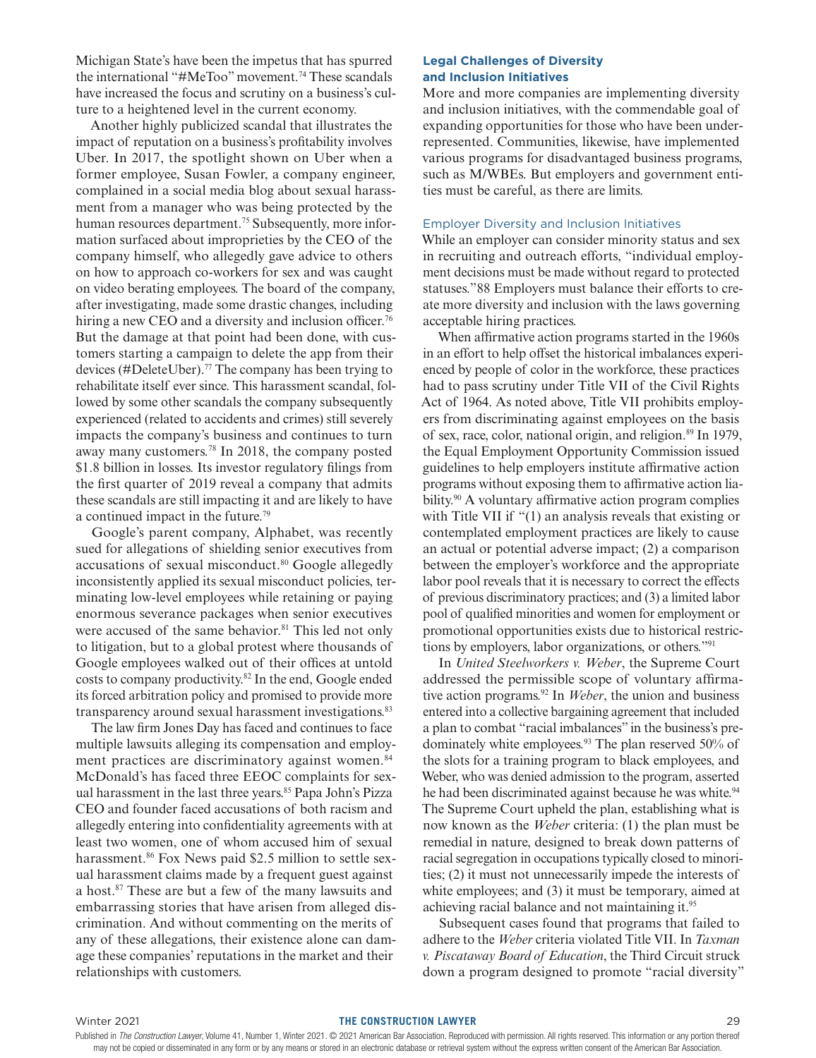Michigan State's have been the impetus that has spurred the international "#MeToo" movement.74 These scandals have increased the focus and scrutiny on a business's culture to a heightened level in the current economy.

Another highly publicized scandal that illustrates the impact of reputation on a business's profitability involves Uber. In 2017, the spotlight shown on Uber when a former employee, Susan Fowler, a company engineer, complained in a social media blog about sexual harassment from a manager who was being protected by the human resources department.<sup>75</sup> Subsequently, more information surfaced about improprieties by the CEO of the company himself, who allegedly gave advice to others on how to approach co-workers for sex and was caught on video berating employees. The board of the company, after investigating, made some drastic changes, including hiring a new CEO and a diversity and inclusion officer.<sup>76</sup> But the damage at that point had been done, with customers starting a campaign to delete the app from their devices (#DeleteUber).77 The company has been trying to rehabilitate itself ever since. This harassment scandal, followed by some other scandals the company subsequently experienced (related to accidents and crimes) still severely impacts the company's business and continues to turn away many customers.78 In 2018, the company posted \$1.8 billion in losses. Its investor regulatory filings from the first quarter of 2019 reveal a company that admits these scandals are still impacting it and are likely to have a continued impact in the future.79

Google's parent company, Alphabet, was recently sued for allegations of shielding senior executives from accusations of sexual misconduct.<sup>80</sup> Google allegedly inconsistently applied its sexual misconduct policies, terminating low-level employees while retaining or paying enormous severance packages when senior executives were accused of the same behavior.<sup>81</sup> This led not only to litigation, but to a global protest where thousands of Google employees walked out of their offices at untold costs to company productivity.82 In the end, Google ended its forced arbitration policy and promised to provide more transparency around sexual harassment investigations.<sup>83</sup>

The law firm Jones Day has faced and continues to face multiple lawsuits alleging its compensation and employment practices are discriminatory against women.<sup>84</sup> McDonald's has faced three EEOC complaints for sexual harassment in the last three years.<sup>85</sup> Papa John's Pizza CEO and founder faced accusations of both racism and allegedly entering into confidentiality agreements with at least two women, one of whom accused him of sexual harassment.<sup>86</sup> Fox News paid \$2.5 million to settle sexual harassment claims made by a frequent guest against a host.87 These are but a few of the many lawsuits and embarrassing stories that have arisen from alleged discrimination. And without commenting on the merits of any of these allegations, their existence alone can damage these companies' reputations in the market and their relationships with customers.

# **Legal Challenges of Diversity and Inclusion Initiatives**

More and more companies are implementing diversity and inclusion initiatives, with the commendable goal of expanding opportunities for those who have been underrepresented. Communities, likewise, have implemented various programs for disadvantaged business programs, such as M/WBEs. But employers and government entities must be careful, as there are limits.

# Employer Diversity and Inclusion Initiatives

While an employer can consider minority status and sex in recruiting and outreach efforts, "individual employment decisions must be made without regard to protected statuses."88 Employers must balance their efforts to create more diversity and inclusion with the laws governing acceptable hiring practices.

When affirmative action programs started in the 1960s in an effort to help offset the historical imbalances experienced by people of color in the workforce, these practices had to pass scrutiny under Title VII of the Civil Rights Act of 1964. As noted above, Title VII prohibits employers from discriminating against employees on the basis of sex, race, color, national origin, and religion.<sup>89</sup> In 1979, the Equal Employment Opportunity Commission issued guidelines to help employers institute affirmative action programs without exposing them to affirmative action liability.<sup>90</sup> A voluntary affirmative action program complies with Title VII if "(1) an analysis reveals that existing or contemplated employment practices are likely to cause an actual or potential adverse impact; (2) a comparison between the employer's workforce and the appropriate labor pool reveals that it is necessary to correct the effects of previous discriminatory practices; and (3) a limited labor pool of qualified minorities and women for employment or promotional opportunities exists due to historical restrictions by employers, labor organizations, or others."91

In *United Steelworkers v. Weber*, the Supreme Court addressed the permissible scope of voluntary affirmative action programs.92 In *Weber*, the union and business entered into a collective bargaining agreement that included a plan to combat "racial imbalances" in the business's predominately white employees.<sup>93</sup> The plan reserved 50% of the slots for a training program to black employees, and Weber, who was denied admission to the program, asserted he had been discriminated against because he was white.<sup>94</sup> The Supreme Court upheld the plan, establishing what is now known as the *Weber* criteria: (1) the plan must be remedial in nature, designed to break down patterns of racial segregation in occupations typically closed to minorities; (2) it must not unnecessarily impede the interests of white employees; and (3) it must be temporary, aimed at achieving racial balance and not maintaining it.95

Subsequent cases found that programs that failed to adhere to the *Weber* criteria violated Title VII. In *Taxman v. Piscataway Board of Education*, the Third Circuit struck down a program designed to promote "racial diversity"

#### Winter 2021 **THE CONSTRUCTION LAWYER** 29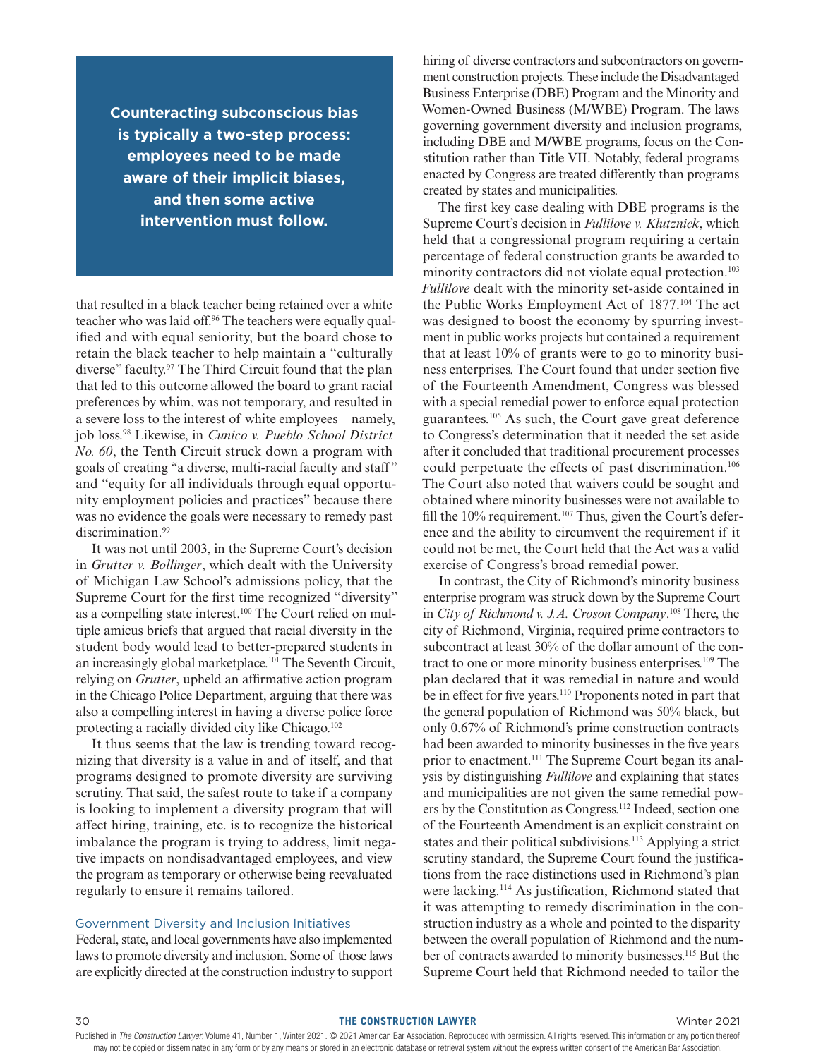**Counteracting subconscious bias is typically a two-step process: employees need to be made aware of their implicit biases, and then some active intervention must follow.**

that resulted in a black teacher being retained over a white teacher who was laid off.96 The teachers were equally qualified and with equal seniority, but the board chose to retain the black teacher to help maintain a "culturally diverse" faculty.97 The Third Circuit found that the plan that led to this outcome allowed the board to grant racial preferences by whim, was not temporary, and resulted in a severe loss to the interest of white employees—namely, job loss.98 Likewise, in *Cunico v. Pueblo School District No. 60*, the Tenth Circuit struck down a program with goals of creating "a diverse, multi-racial faculty and staff" and "equity for all individuals through equal opportunity employment policies and practices" because there was no evidence the goals were necessary to remedy past discrimination.<sup>99</sup>

It was not until 2003, in the Supreme Court's decision in *Grutter v. Bollinger*, which dealt with the University of Michigan Law School's admissions policy, that the Supreme Court for the first time recognized "diversity" as a compelling state interest.<sup>100</sup> The Court relied on multiple amicus briefs that argued that racial diversity in the student body would lead to better-prepared students in an increasingly global marketplace.<sup>101</sup> The Seventh Circuit, relying on *Grutter*, upheld an affirmative action program in the Chicago Police Department, arguing that there was also a compelling interest in having a diverse police force protecting a racially divided city like Chicago.<sup>102</sup>

It thus seems that the law is trending toward recognizing that diversity is a value in and of itself, and that programs designed to promote diversity are surviving scrutiny. That said, the safest route to take if a company is looking to implement a diversity program that will affect hiring, training, etc. is to recognize the historical imbalance the program is trying to address, limit negative impacts on nondisadvantaged employees, and view the program as temporary or otherwise being reevaluated regularly to ensure it remains tailored.

# Government Diversity and Inclusion Initiatives

Federal, state, and local governments have also implemented laws to promote diversity and inclusion. Some of those laws are explicitly directed at the construction industry to support hiring of diverse contractors and subcontractors on government construction projects. These include the Disadvantaged Business Enterprise (DBE) Program and the Minority and Women-Owned Business (M/WBE) Program. The laws governing government diversity and inclusion programs, including DBE and M/WBE programs, focus on the Constitution rather than Title VII. Notably, federal programs enacted by Congress are treated differently than programs created by states and municipalities.

The first key case dealing with DBE programs is the Supreme Court's decision in *Fullilove v. Klutznick*, which held that a congressional program requiring a certain percentage of federal construction grants be awarded to minority contractors did not violate equal protection.<sup>103</sup> *Fullilove* dealt with the minority set-aside contained in the Public Works Employment Act of 1877.104 The act was designed to boost the economy by spurring investment in public works projects but contained a requirement that at least 10% of grants were to go to minority business enterprises. The Court found that under section five of the Fourteenth Amendment, Congress was blessed with a special remedial power to enforce equal protection guarantees.105 As such, the Court gave great deference to Congress's determination that it needed the set aside after it concluded that traditional procurement processes could perpetuate the effects of past discrimination.<sup>106</sup> The Court also noted that waivers could be sought and obtained where minority businesses were not available to fill the  $10\%$  requirement.<sup>107</sup> Thus, given the Court's deference and the ability to circumvent the requirement if it could not be met, the Court held that the Act was a valid exercise of Congress's broad remedial power.

In contrast, the City of Richmond's minority business enterprise program was struck down by the Supreme Court in *City of Richmond v. J.A. Croson Company*. 108 There, the city of Richmond, Virginia, required prime contractors to subcontract at least 30% of the dollar amount of the contract to one or more minority business enterprises.<sup>109</sup> The plan declared that it was remedial in nature and would be in effect for five years.<sup>110</sup> Proponents noted in part that the general population of Richmond was 50% black, but only 0.67% of Richmond's prime construction contracts had been awarded to minority businesses in the five years prior to enactment.111 The Supreme Court began its analysis by distinguishing *Fullilove* and explaining that states and municipalities are not given the same remedial powers by the Constitution as Congress.112 Indeed, section one of the Fourteenth Amendment is an explicit constraint on states and their political subdivisions.<sup>113</sup> Applying a strict scrutiny standard, the Supreme Court found the justifications from the race distinctions used in Richmond's plan were lacking.114 As justification, Richmond stated that it was attempting to remedy discrimination in the construction industry as a whole and pointed to the disparity between the overall population of Richmond and the number of contracts awarded to minority businesses.<sup>115</sup> But the Supreme Court held that Richmond needed to tailor the

#### 30 **THE CONSTRUCTION LAWYER** Winter 2021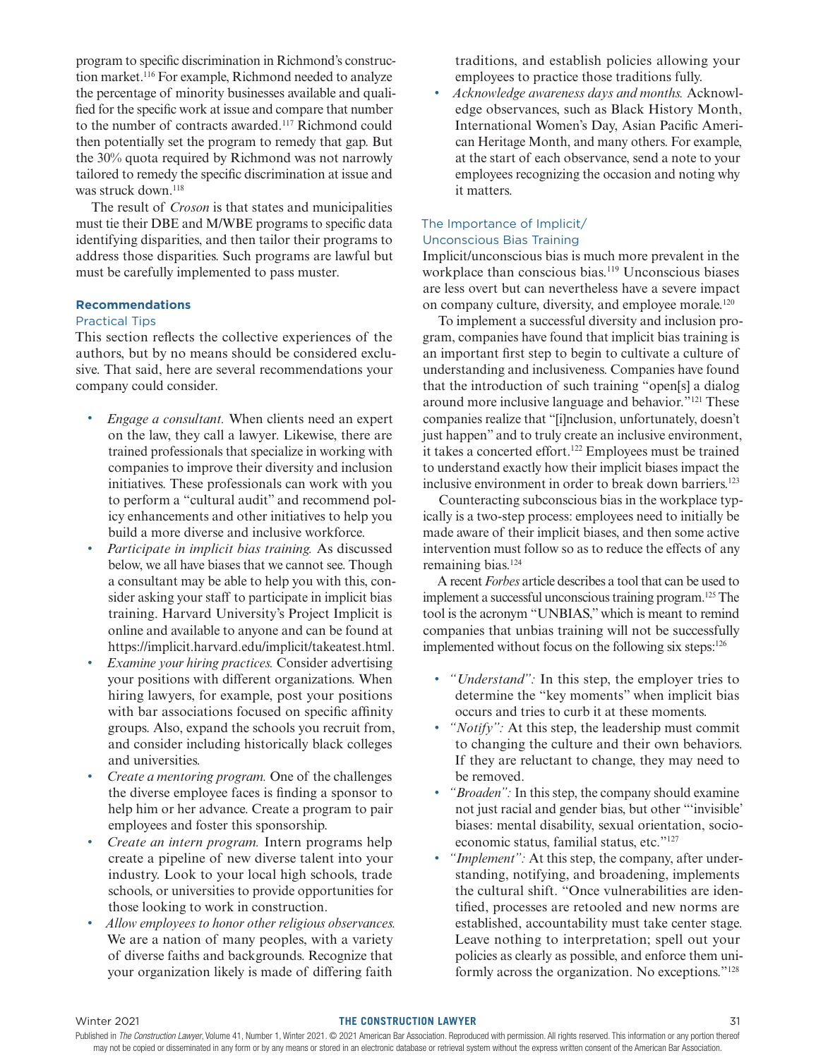program to specific discrimination in Richmond's construction market.<sup>116</sup> For example, Richmond needed to analyze the percentage of minority businesses available and qualified for the specific work at issue and compare that number to the number of contracts awarded.<sup>117</sup> Richmond could then potentially set the program to remedy that gap. But the 30% quota required by Richmond was not narrowly tailored to remedy the specific discrimination at issue and was struck down.<sup>118</sup>

The result of *Croson* is that states and municipalities must tie their DBE and M/WBE programs to specific data identifying disparities, and then tailor their programs to address those disparities. Such programs are lawful but must be carefully implemented to pass muster.

# **Recommendations**

## Practical Tips

This section reflects the collective experiences of the authors, but by no means should be considered exclusive. That said, here are several recommendations your company could consider.

- *Engage a consultant.* When clients need an expert on the law, they call a lawyer. Likewise, there are trained professionals that specialize in working with companies to improve their diversity and inclusion initiatives. These professionals can work with you to perform a "cultural audit" and recommend policy enhancements and other initiatives to help you build a more diverse and inclusive workforce.
- *Participate in implicit bias training.* As discussed below, we all have biases that we cannot see. Though a consultant may be able to help you with this, consider asking your staff to participate in implicit bias training. Harvard University's Project Implicit is online and available to anyone and can be found at https://implicit.harvard.edu/implicit/takeatest.html.
- *Examine your hiring practices.* Consider advertising your positions with different organizations. When hiring lawyers, for example, post your positions with bar associations focused on specific affinity groups. Also, expand the schools you recruit from, and consider including historically black colleges and universities.
- *Create a mentoring program.* One of the challenges the diverse employee faces is finding a sponsor to help him or her advance. Create a program to pair employees and foster this sponsorship.
- *Create an intern program.* Intern programs help create a pipeline of new diverse talent into your industry. Look to your local high schools, trade schools, or universities to provide opportunities for those looking to work in construction.
- *Allow employees to honor other religious observances.* We are a nation of many peoples, with a variety of diverse faiths and backgrounds. Recognize that your organization likely is made of differing faith

traditions, and establish policies allowing your employees to practice those traditions fully.

• *Acknowledge awareness days and months.* Acknowledge observances, such as Black History Month, International Women's Day, Asian Pacific American Heritage Month, and many others. For example, at the start of each observance, send a note to your employees recognizing the occasion and noting why it matters.

# The Importance of Implicit/

# Unconscious Bias Training

Implicit/unconscious bias is much more prevalent in the workplace than conscious bias.119 Unconscious biases are less overt but can nevertheless have a severe impact on company culture, diversity, and employee morale.<sup>120</sup>

To implement a successful diversity and inclusion program, companies have found that implicit bias training is an important first step to begin to cultivate a culture of understanding and inclusiveness. Companies have found that the introduction of such training "open[s] a dialog around more inclusive language and behavior."121 These companies realize that "[i]nclusion, unfortunately, doesn't just happen" and to truly create an inclusive environment, it takes a concerted effort.<sup>122</sup> Employees must be trained to understand exactly how their implicit biases impact the inclusive environment in order to break down barriers.<sup>123</sup>

Counteracting subconscious bias in the workplace typically is a two-step process: employees need to initially be made aware of their implicit biases, and then some active intervention must follow so as to reduce the effects of any remaining bias.<sup>124</sup>

A recent *Forbes* article describes a tool that can be used to implement a successful unconscious training program.125 The tool is the acronym "UNBIAS," which is meant to remind companies that unbias training will not be successfully implemented without focus on the following six steps:126

- *"Understand":* In this step, the employer tries to determine the "key moments" when implicit bias occurs and tries to curb it at these moments.
- *"Notify"*: At this step, the leadership must commit to changing the culture and their own behaviors. If they are reluctant to change, they may need to be removed.
- *"Broaden":* In this step, the company should examine not just racial and gender bias, but other "'invisible' biases: mental disability, sexual orientation, socioeconomic status, familial status, etc."127
- *"Implement"*: At this step, the company, after understanding, notifying, and broadening, implements the cultural shift. "Once vulnerabilities are identified, processes are retooled and new norms are established, accountability must take center stage. Leave nothing to interpretation; spell out your policies as clearly as possible, and enforce them uniformly across the organization. No exceptions."128

#### Winter 2021 **THE CONSTRUCTION LAWYER** 31

Published in The Construction Lawyer, Volume 41, Number 1, Winter 2021. © 2021 American Bar Association. Reproduced with permission. All rights reserved. This information or any portion thereof may not be copied or disseminated in any form or by any means or stored in an electronic database or retrieval system without the express written consent of the American Bar Association.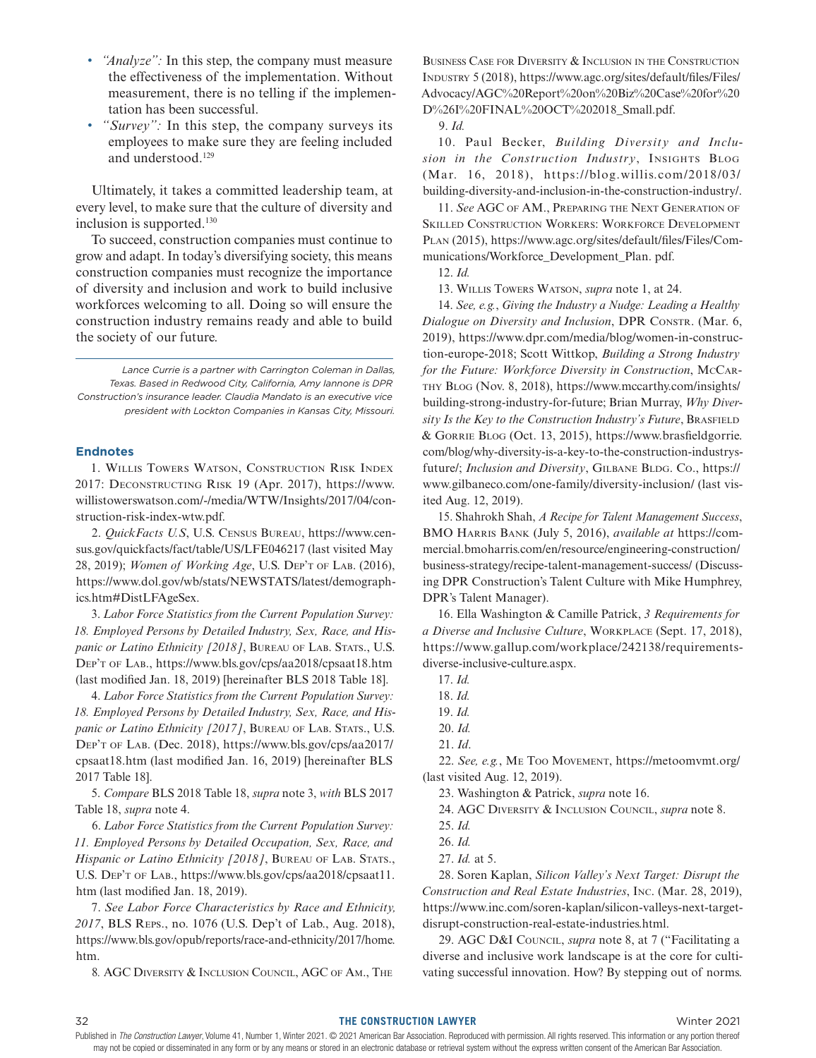- *"Analyze":* In this step, the company must measure the effectiveness of the implementation. Without measurement, there is no telling if the implementation has been successful.
- *"Survey":* In this step, the company surveys its employees to make sure they are feeling included and understood.129

Ultimately, it takes a committed leadership team, at every level, to make sure that the culture of diversity and inclusion is supported.<sup>130</sup>

To succeed, construction companies must continue to grow and adapt. In today's diversifying society, this means construction companies must recognize the importance of diversity and inclusion and work to build inclusive workforces welcoming to all. Doing so will ensure the construction industry remains ready and able to build the society of our future.

*Lance Currie is a partner with Carrington Coleman in Dallas, Texas. Based in Redwood City, California, Amy Iannone is DPR Construction's insurance leader. Claudia Mandato is an executive vice president with Lockton Companies in Kansas City, Missouri.*

#### **Endnotes**

1. Willis Towers Watson, Construction Risk Index 2017: Deconstructing Risk 19 (Apr. 2017), https://www. willistowerswatson.com/-/media/WTW/Insights/2017/04/construction-risk-index-wtw.pdf.

2. *QuickFacts U.S*, U.S. Census Bureau, https://www.census.gov/quickfacts/fact/table/US/LFE046217 (last visited May 28, 2019); *Women of Working Age*, U.S. Dep't of Lab. (2016), https://www.dol.gov/wb/stats/NEWSTATS/latest/demographics.htm#DistLFAgeSex.

3. *Labor Force Statistics from the Current Population Survey: 18. Employed Persons by Detailed Industry, Sex, Race, and Hispanic or Latino Ethnicity [2018]*, BUREAU OF LAB. STATS., U.S. Dep't of Lab., https://www.bls.gov/cps/aa2018/cpsaat18.htm (last modified Jan. 18, 2019) [hereinafter BLS 2018 Table 18].

4. *Labor Force Statistics from the Current Population Survey: 18. Employed Persons by Detailed Industry, Sex, Race, and Hispanic or Latino Ethnicity [2017]*, BUREAU OF LAB. STATS., U.S. Dep't of Lab. (Dec. 2018), https://www.bls.gov/cps/aa2017/ cpsaat18.htm (last modified Jan. 16, 2019) [hereinafter BLS 2017 Table 18].

5. *Compare* BLS 2018 Table 18, *supra* note 3, *with* BLS 2017 Table 18, *supra* note 4.

6. *Labor Force Statistics from the Current Population Survey: 11. Employed Persons by Detailed Occupation, Sex, Race, and Hispanic or Latino Ethnicity [2018]*, BUREAU OF LAB. STATS., U.S. Dep't of Lab., https://www.bls.gov/cps/aa2018/cpsaat11. htm (last modified Jan. 18, 2019).

7. *See Labor Force Characteristics by Race and Ethnicity, 2017*, BLS Reps., no. 1076 (U.S. Dep't of Lab., Aug. 2018), https://www.bls.gov/opub/reports/race-and-ethnicity/2017/home. htm.

8*.* AGC Diversity & Inclusion Council, AGC of Am., The

Business Case for Diversity & Inclusion in the Construction Industry 5 (2018), https://www.agc.org/sites/default/files/Files/ Advocacy/AGC%20Report%20on%20Biz%20Case%20for%20 D%26I%20FINAL%20OCT%202018\_Small.pdf.

9. *Id.*

10. Paul Becker, *Building Diversity and Inclusion in the Construction Industry*, Insights Blog (Mar. 16, 2018), https://blog.willis.com/2018/03/ building-diversity-and-inclusion-in-the-construction-industry/.

11. *See* AGC of AM., Preparing the Next Generation of Skilled Construction Workers: Workforce Development Plan (2015), https://www.agc.org/sites/default/files/Files/Communications/Workforce\_Development\_Plan. pdf.

13. Willis Towers Watson, *supra* note 1, at 24.

14. *See, e.g.*, *Giving the Industry a Nudge: Leading a Healthy Dialogue on Diversity and Inclusion*, DPR Constr. (Mar. 6, 2019), https://www.dpr.com/media/blog/women-in-construction-europe-2018; Scott Wittkop, *Building a Strong Industry for the Future: Workforce Diversity in Construction*, McCarthy Blog (Nov. 8, 2018), https://www.mccarthy.com/insights/ building-strong-industry-for-future; Brian Murray, *Why Diversity Is the Key to the Construction Industry's Future*, BRASFIELD & Gorrie Blog (Oct. 13, 2015), https://www.brasfieldgorrie. com/blog/why-diversity-is-a-key-to-the-construction-industrysfuture/; *Inclusion and Diversity*, GILBANE BLDG. Co., https:// www.gilbaneco.com/one-family/diversity-inclusion/ (last visited Aug. 12, 2019).

15. Shahrokh Shah, *A Recipe for Talent Management Success*, BMO Harris Bank (July 5, 2016), *available at* https://commercial.bmoharris.com/en/resource/engineering-construction/ business-strategy/recipe-talent-management-success/ (Discussing DPR Construction's Talent Culture with Mike Humphrey, DPR's Talent Manager).

16. Ella Washington & Camille Patrick, *3 Requirements for a Diverse and Inclusive Culture*, Workplace (Sept. 17, 2018), https://www.gallup.com/workplace/242138/requirementsdiverse-inclusive-culture.aspx.

- 17. *Id.*
- 18. *Id.*

22. *See, e.g.*, Me Too Movement, https://metoomvmt.org/ (last visited Aug. 12, 2019).

23. Washington & Patrick, *supra* note 16.

24. AGC Diversity & Inclusion Council, *supra* note 8.

- 25. *Id.*
- 26. *Id.*
- 27. *Id.* at 5.

28. Soren Kaplan, *Silicon Valley's Next Target: Disrupt the Construction and Real Estate Industries*, Inc. (Mar. 28, 2019), https://www.inc.com/soren-kaplan/silicon-valleys-next-targetdisrupt-construction-real-estate-industries.html.

29. AGC D&I Council, *supra* note 8, at 7 ("Facilitating a diverse and inclusive work landscape is at the core for cultivating successful innovation. How? By stepping out of norms.

<sup>12.</sup> *Id.*

<sup>19.</sup> *Id.*

<sup>20.</sup> *Id.*

<sup>21.</sup> *Id*.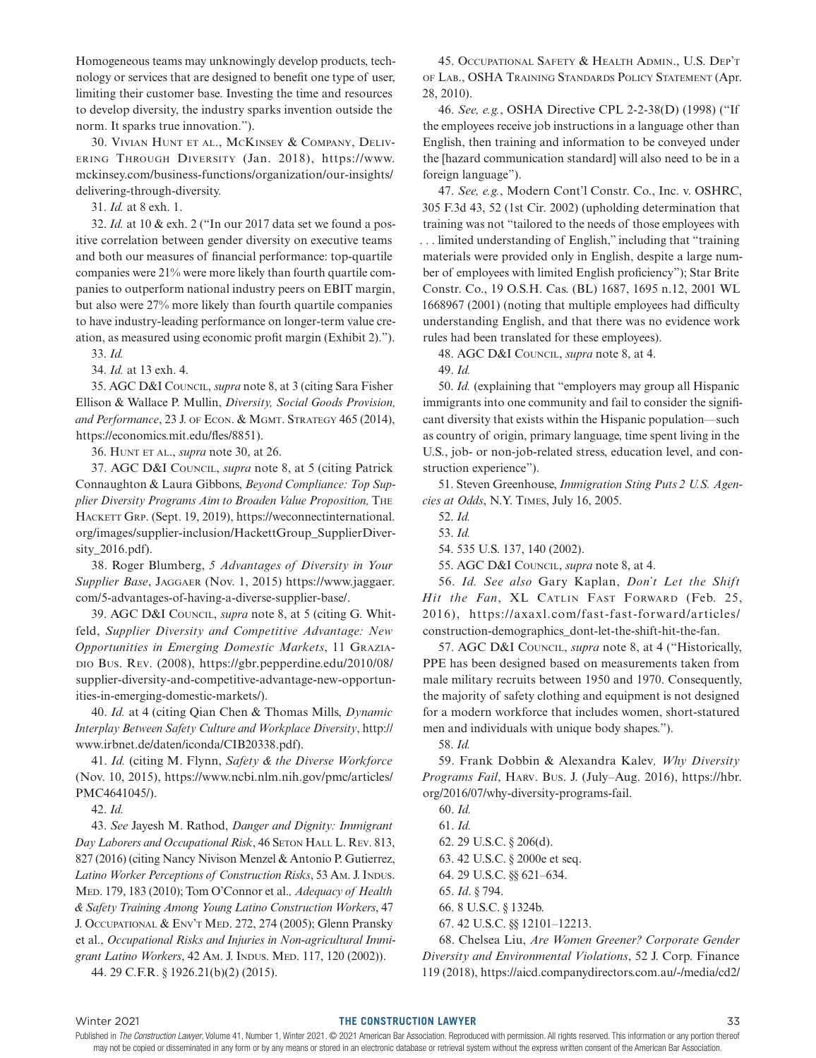Homogeneous teams may unknowingly develop products, technology or services that are designed to benefit one type of user, limiting their customer base. Investing the time and resources to develop diversity, the industry sparks invention outside the norm. It sparks true innovation.").

30. Vivian Hunt et al., McKinsey & Company, Delivering Through Diversity (Jan. 2018), https://www. mckinsey.com/business-functions/organization/our-insights/ delivering-through-diversity.

31. *Id.* at 8 exh. 1.

32. *Id.* at 10 & exh. 2 ("In our 2017 data set we found a positive correlation between gender diversity on executive teams and both our measures of financial performance: top-quartile companies were 21% were more likely than fourth quartile companies to outperform national industry peers on EBIT margin, but also were 27% more likely than fourth quartile companies to have industry-leading performance on longer-term value creation, as measured using economic profit margin (Exhibit 2)."). 33. *Id.*

34. *Id.* at 13 exh. 4.

35. AGC D&I Council, *supra* note 8, at 3 (citing Sara Fisher Ellison & Wallace P. Mullin, *Diversity, Social Goods Provision,*  and Performance, 23 J. of Econ. & MGMT. STRATEGY 465 (2014), https://economics.mit.edu/fles/8851).

36. Hunt et al., *supra* note 30, at 26.

37. AGC D&I Council, *supra* note 8, at 5 (citing Patrick Connaughton & Laura Gibbons, *Beyond Compliance: Top Supplier Diversity Programs Aim to Broaden Value Proposition,* The HACKETT GRP. (Sept. 19, 2019), https://weconnectinternational. org/images/supplier-inclusion/HackettGroup\_SupplierDiversity\_2016.pdf).

38. Roger Blumberg, *5 Advantages of Diversity in Your Supplier Base*, Jaggaer (Nov. 1, 2015) https://www.jaggaer. com/5-advantages-of-having-a-diverse-supplier-base/.

39. AGC D&I Council, *supra* note 8, at 5 (citing G. Whitfeld, *Supplier Diversity and Competitive Advantage: New Opportunities in Emerging Domestic Markets*, 11 Graziadio Bus. Rev. (2008), https://gbr.pepperdine.edu/2010/08/ supplier-diversity-and-competitive-advantage-new-opportunities-in-emerging-domestic-markets/).

40. *Id.* at 4 (citing Qian Chen & Thomas Mills, *Dynamic Interplay Between Safety Culture and Workplace Diversity*, http:// www.irbnet.de/daten/iconda/CIB20338.pdf).

41. *Id.* (citing M. Flynn, *Safety & the Diverse Workforce*  (Nov. 10, 2015), https://www.ncbi.nlm.nih.gov/pmc/articles/ PMC4641045/).

42. *Id.*

43. *See* Jayesh M. Rathod, *Danger and Dignity: Immigrant*  Day Laborers and Occupational Risk, 46 SETON HALL L. REV. 813, 827 (2016) (citing Nancy Nivison Menzel & Antonio P. Gutierrez, *Latino Worker Perceptions of Construction Risks*, 53 Am. J. Indus. Med. 179, 183 (2010); Tom O'Connor et al.*, Adequacy of Health & Safety Training Among Young Latino Construction Workers*, 47 J. Occupational & Env't Med. 272, 274 (2005); Glenn Pransky et al., *Occupational Risks and Injuries in Non-agricultural Immi*grant Latino Workers, 42 Am. J. INDUS. MED. 117, 120 (2002)).

44. 29 C.F.R. § 1926.21(b)(2) (2015).

45. Occupational Safety & Health Admin., U.S. Dep't of Lab., OSHA Training Standards Policy Statement (Apr. 28, 2010).

46. *See, e.g.*, OSHA Directive CPL 2-2-38(D) (1998) ("If the employees receive job instructions in a language other than English, then training and information to be conveyed under the [hazard communication standard] will also need to be in a foreign language").

47. *See, e.g.*, Modern Cont'l Constr. Co., Inc. v. OSHRC, 305 F.3d 43, 52 (1st Cir. 2002) (upholding determination that training was not "tailored to the needs of those employees with . . . limited understanding of English," including that "training materials were provided only in English, despite a large number of employees with limited English proficiency"); Star Brite Constr. Co., 19 O.S.H. Cas. (BL) 1687, 1695 n.12, 2001 WL 1668967 (2001) (noting that multiple employees had difficulty understanding English, and that there was no evidence work rules had been translated for these employees).

48. AGC D&I Council, *supra* note 8, at 4.

49. *Id.*

50. *Id.* (explaining that "employers may group all Hispanic immigrants into one community and fail to consider the significant diversity that exists within the Hispanic population—such as country of origin, primary language, time spent living in the U.S., job- or non-job-related stress, education level, and construction experience").

51. Steven Greenhouse, *Immigration Sting Puts 2 U.S. Agencies at Odds*, N.Y. Times, July 16, 2005.

52. *Id.*

53. *Id.*

54. 535 U.S. 137, 140 (2002).

55. AGC D&I Council, *supra* note 8, at 4.

56. *Id. See also* Gary Kaplan, *Don't Let the Shift*  Hit the Fan, XL CATLIN FAST FORWARD (Feb. 25, 2016), https://axaxl.com/fast-fast-forward/articles/ construction-demographics\_dont-let-the-shift-hit-the-fan.

57. AGC D&I Council, *supra* note 8, at 4 ("Historically, PPE has been designed based on measurements taken from male military recruits between 1950 and 1970. Consequently, the majority of safety clothing and equipment is not designed for a modern workforce that includes women, short-statured men and individuals with unique body shapes.").

58. *Id.*

59. Frank Dobbin & Alexandra Kalev*, Why Diversity Programs Fail*, Harv. Bus. J. (July–Aug. 2016), https://hbr. org/2016/07/why-diversity-programs-fail.

60. *Id.* 61. *Id.* 62. 29 U.S.C. § 206(d). 63. 42 U.S.C. § 2000e et seq. 64. 29 U.S.C. §§ 621–634. 65. *Id*. § 794. 66. 8 U.S.C. § 1324b. 67. 42 U.S.C. §§ 12101–12213.

68. Chelsea Liu, *Are Women Greener? Corporate Gender Diversity and Environmental Violations*, 52 J. Corp. Finance 119 (2018), https://aicd.companydirectors.com.au/-/media/cd2/

#### Winter 2021 **THE CONSTRUCTION LAWYER** 33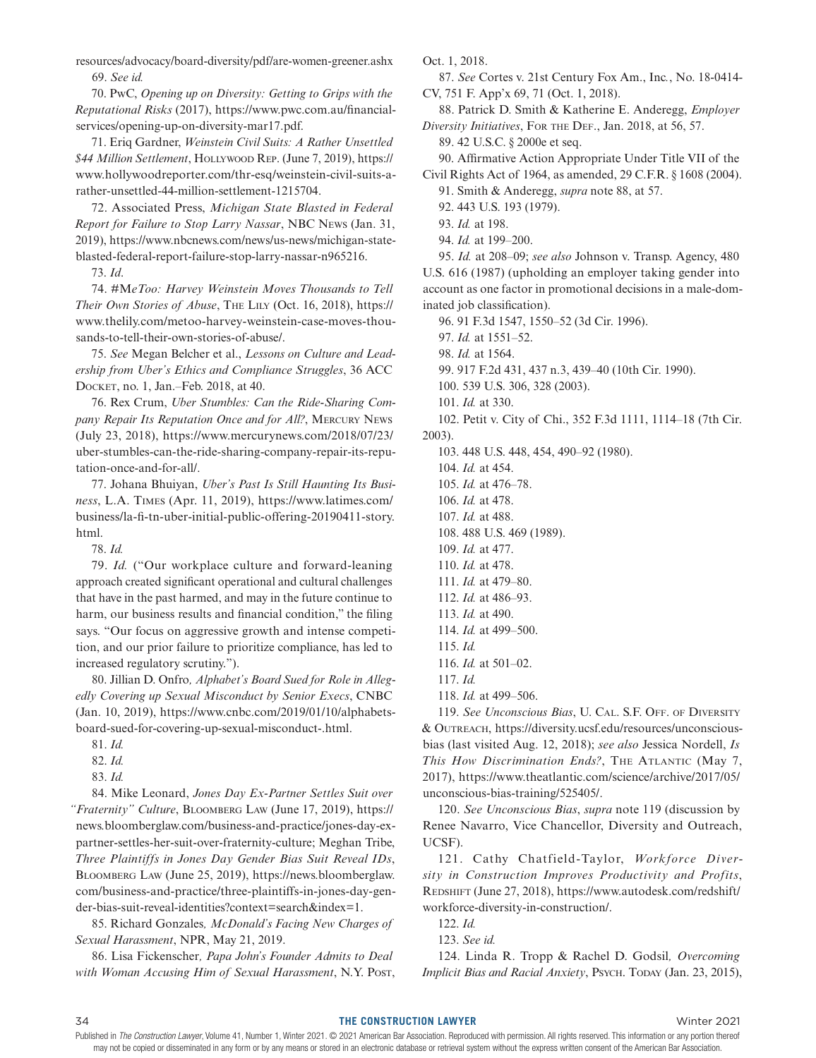resources/advocacy/board-diversity/pdf/are-women-greener.ashx 69. *See id.*

70. PwC, *Opening up on Diversity: Getting to Grips with the Reputational Risks* (2017), https://www.pwc.com.au/financialservices/opening-up-on-diversity-mar17.pdf.

71. Eriq Gardner, *Weinstein Civil Suits: A Rather Unsettled \$44 Million Settlement*, Hollywood Rep. (June 7, 2019), https:// www.hollywoodreporter.com/thr-esq/weinstein-civil-suits-arather-unsettled-44-million-settlement-1215704.

72. Associated Press, *Michigan State Blasted in Federal Report for Failure to Stop Larry Nassar*, NBC News (Jan. 31, 2019), https://www.nbcnews.com/news/us-news/michigan-stateblasted-federal-report-failure-stop-larry-nassar-n965216.

73. *Id*.

74. #M*eToo: Harvey Weinstein Moves Thousands to Tell Their Own Stories of Abuse*, The Lily (Oct. 16, 2018), https:// www.thelily.com/metoo-harvey-weinstein-case-moves-thousands-to-tell-their-own-stories-of-abuse/.

75. *See* Megan Belcher et al., *Lessons on Culture and Leadership from Uber's Ethics and Compliance Struggles*, 36 ACC Docket, no. 1, Jan.–Feb. 2018, at 40.

76. Rex Crum, *Uber Stumbles: Can the Ride-Sharing Company Repair Its Reputation Once and for All?*, Mercury News (July 23, 2018), https://www.mercurynews.com/2018/07/23/ uber-stumbles-can-the-ride-sharing-company-repair-its-reputation-once-and-for-all/.

77. Johana Bhuiyan, *Uber's Past Is Still Haunting Its Business*, L.A. Times (Apr. 11, 2019), https://www.latimes.com/ business/la-fi-tn-uber-initial-public-offering-20190411-story. html.

78. *Id.*

79. *Id.* ("Our workplace culture and forward-leaning approach created significant operational and cultural challenges that have in the past harmed, and may in the future continue to harm, our business results and financial condition," the filing says. "Our focus on aggressive growth and intense competition, and our prior failure to prioritize compliance, has led to increased regulatory scrutiny.").

80. Jillian D. Onfro*, Alphabet's Board Sued for Role in Allegedly Covering up Sexual Misconduct by Senior Execs*, CNBC (Jan. 10, 2019), https://www.cnbc.com/2019/01/10/alphabetsboard-sued-for-covering-up-sexual-misconduct-.html.

84. Mike Leonard, *Jones Day Ex-Partner Settles Suit over "Fraternity" Culture*, Bloomberg Law (June 17, 2019), https:// news.bloomberglaw.com/business-and-practice/jones-day-expartner-settles-her-suit-over-fraternity-culture; Meghan Tribe, *Three Plaintiffs in Jones Day Gender Bias Suit Reveal IDs*, Bloomberg Law (June 25, 2019), https://news.bloomberglaw. com/business-and-practice/three-plaintiffs-in-jones-day-gender-bias-suit-reveal-identities?context=search&index=1.

85. Richard Gonzales*, McDonald's Facing New Charges of Sexual Harassment*, NPR, May 21, 2019.

86. Lisa Fickenscher*, Papa John's Founder Admits to Deal with Woman Accusing Him of Sexual Harassment*, N.Y. Post, Oct. 1, 2018.

87. *See* Cortes v. 21st Century Fox Am., Inc*.*, No. 18-0414- CV, 751 F. App'x 69, 71 (Oct. 1, 2018).

88. Patrick D. Smith & Katherine E. Anderegg, *Employer Diversity Initiatives*, For the Def., Jan. 2018, at 56, 57.

89. 42 U.S.C. § 2000e et seq.

90. Affirmative Action Appropriate Under Title VII of the Civil Rights Act of 1964, as amended, 29 C.F.R. § 1608 (2004).

91. Smith & Anderegg, *supra* note 88, at 57.

92. 443 U.S. 193 (1979). 93. *Id.* at 198.

95. *Id.* at 208–09; *see also* Johnson v. Transp. Agency, 480 U.S. 616 (1987) (upholding an employer taking gender into account as one factor in promotional decisions in a male-dominated job classification).

96. 91 F.3d 1547, 1550–52 (3d Cir. 1996).

97. *Id.* at 1551–52.

98. *Id.* at 1564.

99. 917 F.2d 431, 437 n.3, 439–40 (10th Cir. 1990).

100. 539 U.S. 306, 328 (2003).

101. *Id.* at 330.

102. Petit v. City of Chi., 352 F.3d 1111, 1114–18 (7th Cir. 2003).

103. 448 U.S. 448, 454, 490–92 (1980).

104. *Id.* at 454. 105. *Id.* at 476–78. 106. *Id.* at 478. 107. *Id.* at 488. 108. 488 U.S. 469 (1989). 109. *Id.* at 477. 110. *Id.* at 478. 111. *Id.* at 479–80. 112. *Id.* at 486–93. 113. *Id.* at 490. 114. *Id.* at 499–500. 115. *Id.* 116. *Id.* at 501–02. 117. *Id.* 118. *Id.* at 499–506.

119. See Unconscious Bias, U. CAL. S.F. OFF. OF DIVERSITY & Outreach, https://diversity.ucsf.edu/resources/unconsciousbias (last visited Aug. 12, 2018); *see also* Jessica Nordell, *Is This How Discrimination Ends?*, THE ATLANTIC (May 7, 2017), https://www.theatlantic.com/science/archive/2017/05/ unconscious-bias-training/525405/.

120. *See Unconscious Bias*, *supra* note 119 (discussion by Renee Navarro, Vice Chancellor, Diversity and Outreach, UCSF).

121. Cathy Chatfield-Taylor, *Workforce Diversity in Construction Improves Productivity and Profits*, REDSHIFT (June 27, 2018), https://www.autodesk.com/redshift/ workforce-diversity-in-construction/.

122. *Id.*

123. *See id.*

124. Linda R. Tropp & Rachel D. Godsil*, Overcoming Implicit Bias and Racial Anxiety*, Psych. Today (Jan. 23, 2015),

<sup>81.</sup> *Id.*

<sup>82.</sup> *Id.*

<sup>83.</sup> *Id.*

<sup>94.</sup> *Id.* at 199–200.

Published in The Construction Lawyer, Volume 41, Number 1, Winter 2021. © 2021 American Bar Association. Reproduced with permission. All rights reserved. This information or any portion thereof may not be copied or disseminated in any form or by any means or stored in an electronic database or retrieval system without the express written consent of the American Bar Association.